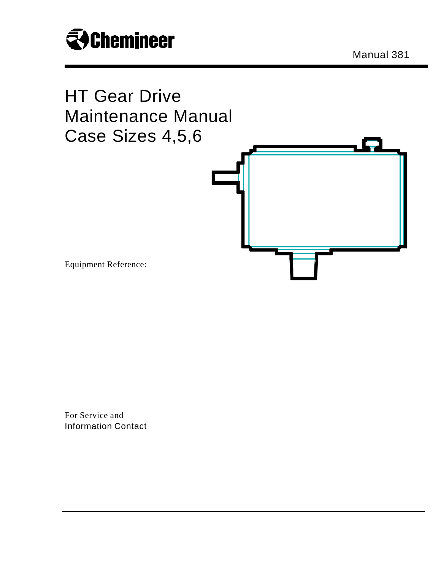

Manual 381



For Service and Information Contact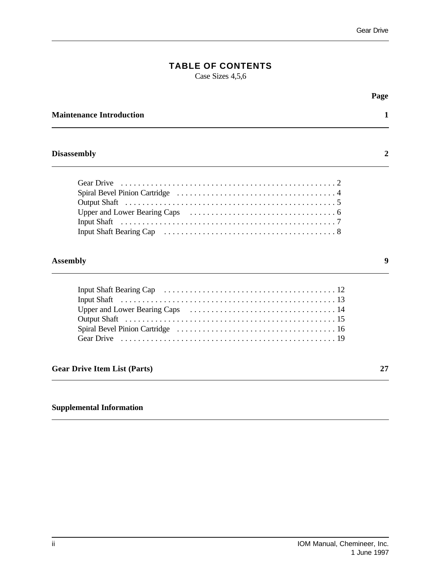# **TABLE OF CONTENTS**

Case Sizes 4,5,6

|                                     | Page |
|-------------------------------------|------|
| <b>Maintenance Introduction</b>     | 1    |
| <b>Disassembly</b>                  | 2    |
| <b>Gear Drive</b>                   |      |
| <b>Assembly</b>                     | 9    |
|                                     |      |
| <b>Gear Drive Item List (Parts)</b> | 27   |
|                                     |      |

## **Supplemental Information**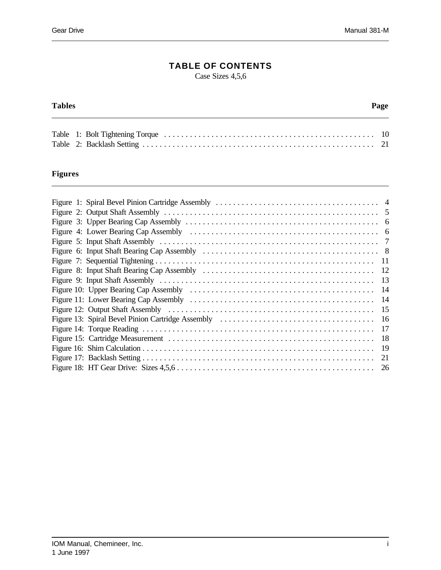## **TABLE OF CONTENTS**

Case Sizes 4,5,6

#### **Tables Page**

## **Figures**

|  | -12 |
|--|-----|
|  | 13  |
|  | 14  |
|  | 14  |
|  | 15  |
|  | 16  |
|  | 17  |
|  | 18  |
|  | 19  |
|  | 21  |
|  |     |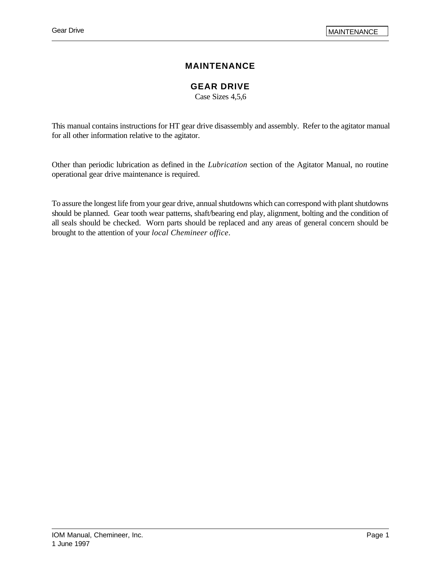## **MAINTENANCE**

## **GEAR DRIVE**

Case Sizes 4,5,6

This manual contains instructions for HT gear drive disassembly and assembly. Refer to the agitator manual for all other information relative to the agitator.

Other than periodic lubrication as defined in the *Lubrication* section of the Agitator Manual, no routine operational gear drive maintenance is required.

To assure the longest life from your gear drive, annual shutdowns which can correspond with plant shutdowns should be planned. Gear tooth wear patterns, shaft/bearing end play, alignment, bolting and the condition of all seals should be checked. Worn parts should be replaced and any areas of general concern should be brought to the attention of your *local Chemineer office*.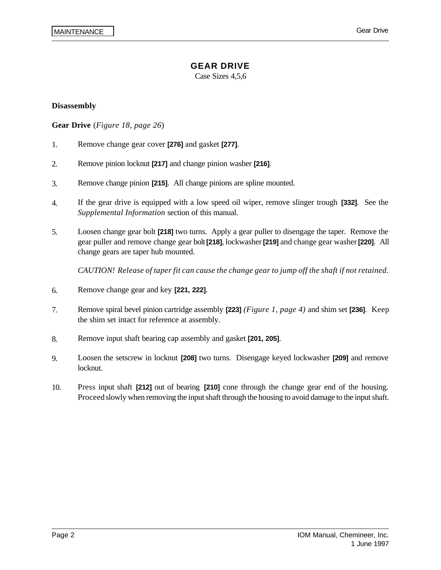Case Sizes 4,5,6

#### **Disassembly**

**Gear Drive** (*Figure 18, page 26*)

- 1. Remove change gear cover **[276]** and gasket **[277]**.
- 2. Remove pinion locknut **[217]** and change pinion washer **[216]**.
- 3. Remove change pinion **[215]**. All change pinions are spline mounted.
- 4. If the gear drive is equipped with a low speed oil wiper, remove slinger trough **[332]**. See the *Supplemental Information* section of this manual.
- 5. Loosen change gear bolt **[218]** two turns. Apply a gear puller to disengage the taper. Remove the gear puller and remove change gear bolt **[218]**, lockwasher **[219]** and change gear washer **[220]**. All change gears are taper hub mounted.

*CAUTION! Release of taper fit can cause the change gear to jump off the shaft if not retained.*

- 6. Remove change gear and key **[221, 222]**.
- 7. Remove spiral bevel pinion cartridge assembly **[223]** *(Figure 1, page 4)* and shim set **[236]**. Keep the shim set intact for reference at assembly.
- 8. Remove input shaft bearing cap assembly and gasket **[201, 205]**.
- 9. Loosen the setscrew in locknut **[208]** two turns. Disengage keyed lockwasher **[209]** and remove locknut.
- 10. Press input shaft **[212]** out of bearing **[210]** cone through the change gear end of the housing. Proceed slowly when removing the input shaft through the housing to avoid damage to the input shaft.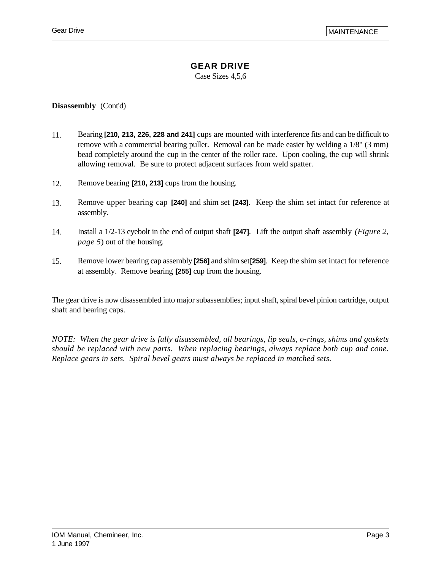## **GEAR DRIVE**

Case Sizes 4,5,6

**Disassembly** (Cont'd)

- 11. Bearing **[210, 213, 226, 228 and 241]** cups are mounted with interference fits and can be difficult to remove with a commercial bearing puller. Removal can be made easier by welding a 1/8" (3 mm) bead completely around the cup in the center of the roller race. Upon cooling, the cup will shrink allowing removal. Be sure to protect adjacent surfaces from weld spatter.
- 12. Remove bearing **[210, 213]** cups from the housing.
- 13. Remove upper bearing cap **[240]** and shim set **[243]**. Keep the shim set intact for reference at assembly.
- 14. Install a 1/2-13 eyebolt in the end of output shaft **[247]**. Lift the output shaft assembly *(Figure 2, page 5*) out of the housing.
- 15. Remove lower bearing cap assembly **[256]** and shim set **[259]**. Keep the shim set intact for reference at assembly. Remove bearing **[255]** cup from the housing.

The gear drive is now disassembled into major subassemblies; input shaft, spiral bevel pinion cartridge, output shaft and bearing caps.

*NOTE: When the gear drive is fully disassembled, all bearings, lip seals, o-rings, shims and gaskets should be replaced with new parts. When replacing bearings, always replace both cup and cone. Replace gears in sets. Spiral bevel gears must always be replaced in matched sets.*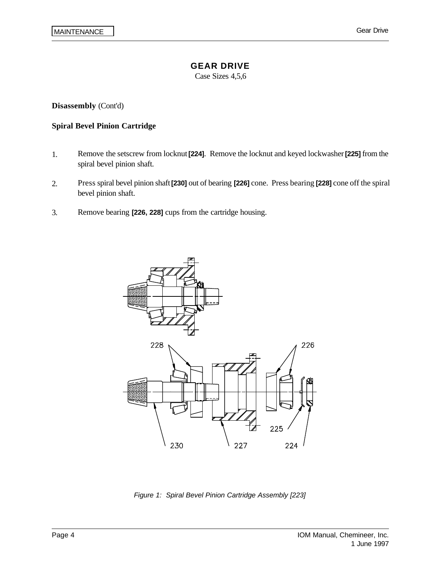Case Sizes 4,5,6

**Disassembly** (Cont'd)

#### **Spiral Bevel Pinion Cartridge**

- 1. Remove the setscrew from locknut **[224]**. Remove the locknut and keyed lockwasher **[225]** from the spiral bevel pinion shaft.
- 2. Press spiral bevel pinion shaft **[230]** out of bearing **[226]** cone. Press bearing **[228]** cone off the spiral bevel pinion shaft.
- 3. Remove bearing **[226, 228]** cups from the cartridge housing.



*Figure 1: Spiral Bevel Pinion Cartridge Assembly [223]*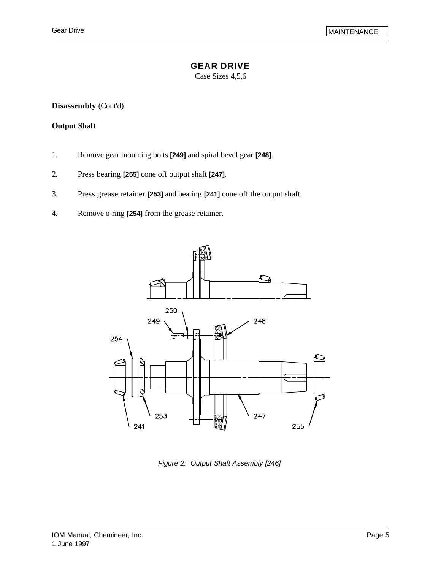### **GEAR DRIVE**

Case Sizes 4,5,6

**Disassembly** (Cont'd)

#### **Output Shaft**

- 1. Remove gear mounting bolts **[249]** and spiral bevel gear **[248]**.
- 2. Press bearing **[255]** cone off output shaft **[247]**.
- 3. Press grease retainer **[253]** and bearing **[241]** cone off the output shaft.
- 4. Remove o-ring **[254]** from the grease retainer.



*Figure 2: Output Shaft Assembly [246]*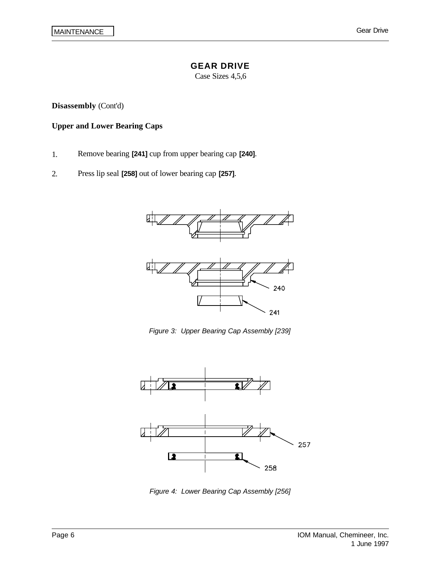Case Sizes 4,5,6

**Disassembly** (Cont'd)

#### **Upper and Lower Bearing Caps**

- 1. Remove bearing **[241]** cup from upper bearing cap **[240]**.
- 2. Press lip seal **[258]** out of lower bearing cap **[257]**.



*Figure 3: Upper Bearing Cap Assembly [239]*



*Figure 4: Lower Bearing Cap Assembly [256]*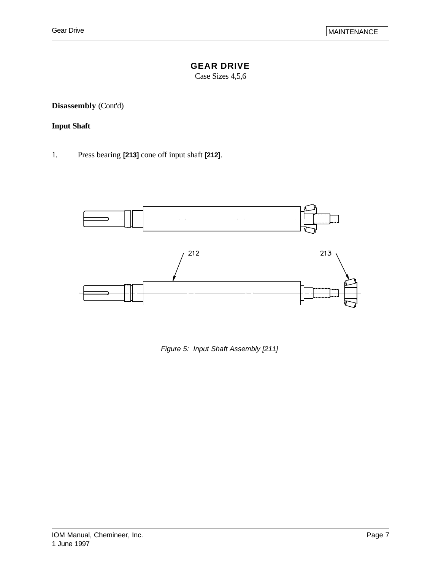## **GEAR DRIVE**

Case Sizes 4,5,6

**Disassembly** (Cont'd)

## **Input Shaft**

1. Press bearing **[213]** cone off input shaft **[212]**.



*Figure 5: Input Shaft Assembly [211]*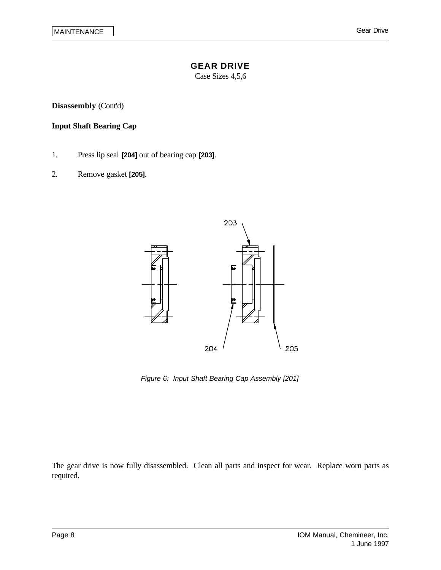Case Sizes 4,5,6

**Disassembly** (Cont'd)

#### **Input Shaft Bearing Cap**

- 1. Press lip seal **[204]** out of bearing cap **[203]**.
- 2. Remove gasket **[205]**.



*Figure 6: Input Shaft Bearing Cap Assembly [201]*

The gear drive is now fully disassembled. Clean all parts and inspect for wear. Replace worn parts as required.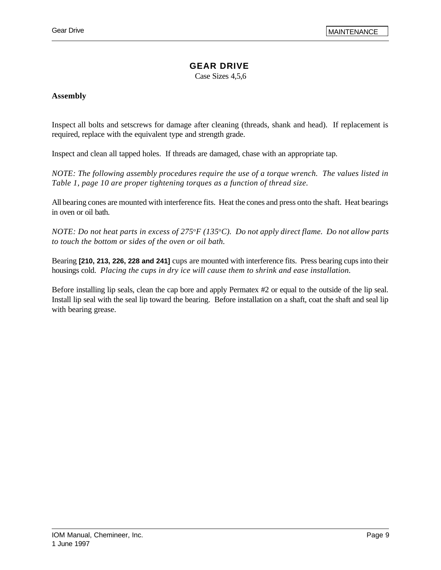## **GEAR DRIVE**

Case Sizes 4,5,6

#### **Assembly**

Inspect all bolts and setscrews for damage after cleaning (threads, shank and head). If replacement is required, replace with the equivalent type and strength grade.

Inspect and clean all tapped holes. If threads are damaged, chase with an appropriate tap.

*NOTE: The following assembly procedures require the use of a torque wrench. The values listed in Table 1, page 10 are proper tightening torques as a function of thread size.*

All bearing cones are mounted with interference fits. Heat the cones and press onto the shaft. Heat bearings in oven or oil bath.

*NOTE: Do not heat parts in excess of 275*<sup>o</sup>*F (135*<sup>o</sup>*C). Do not apply direct flame. Do not allow parts to touch the bottom or sides of the oven or oil bath.* 

Bearing **[210, 213, 226, 228 and 241]** cups are mounted with interference fits. Press bearing cups into their housings cold. *Placing the cups in dry ice will cause them to shrink and ease installation.*

Before installing lip seals, clean the cap bore and apply Permatex #2 or equal to the outside of the lip seal. Install lip seal with the seal lip toward the bearing. Before installation on a shaft, coat the shaft and seal lip with bearing grease.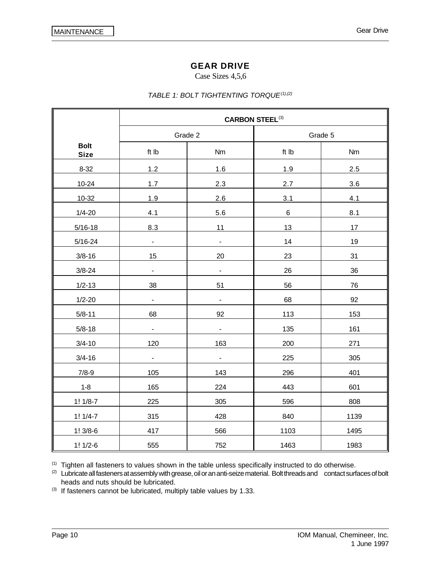#### Case Sizes 4,5,6

#### *TABLE 1: BOLT TIGHTENTING TORQUE(1),(2)*

|                            | <b>CARBON STEEL(3)</b>       |                          |         |           |  |
|----------------------------|------------------------------|--------------------------|---------|-----------|--|
|                            | Grade 2                      |                          | Grade 5 |           |  |
| <b>Bolt</b><br><b>Size</b> | ft Ib                        | Nm                       | ft Ib   | <b>Nm</b> |  |
| $8 - 32$                   | 1.2                          | 1.6                      | 1.9     | 2.5       |  |
| $10 - 24$                  | 1.7                          | 2.3                      | 2.7     | 3.6       |  |
| 10-32                      | 1.9                          | 2.6                      | 3.1     | 4.1       |  |
| $1/4 - 20$                 | 4.1                          | 5.6                      | $\,6\,$ | 8.1       |  |
| $5/16 - 18$                | 8.3                          | 11                       | 13      | 17        |  |
| $5/16 - 24$                | $\blacksquare$               | $\blacksquare$           | 14      | 19        |  |
| $3/8 - 16$                 | 15                           | 20                       | 23      | 31        |  |
| $3/8 - 24$                 | $\overline{\phantom{0}}$     | $\overline{\phantom{a}}$ | 26      | 36        |  |
| $1/2 - 13$                 | 38                           | 51                       | 56      | 76        |  |
| $1/2 - 20$                 | $\qquad \qquad \blacksquare$ | $\blacksquare$           | 68      | 92        |  |
| $5/8 - 11$                 | 68                           | 92                       | 113     | 153       |  |
| $5/8 - 18$                 | $\overline{a}$               | $\overline{\phantom{a}}$ | 135     | 161       |  |
| $3/4 - 10$                 | 120                          | 163                      | 200     | 271       |  |
| $3/4 - 16$                 | $\overline{\phantom{0}}$     | $\overline{\phantom{a}}$ | 225     | 305       |  |
| $7/8-9$                    | 105                          | 143                      | 296     | 401       |  |
| $1 - 8$                    | 165                          | 224                      | 443     | 601       |  |
| $1! 1/8-7$                 | 225                          | 305                      | 596     | 808       |  |
| $1! 1/4-7$                 | 315                          | 428                      | 840     | 1139      |  |
| $1!3/8-6$                  | 417                          | 566                      | 1103    | 1495      |  |
| $1! 1/2-6$                 | 555                          | 752                      | 1463    | 1983      |  |

(1) Tighten all fasteners to values shown in the table unless specifically instructed to do otherwise.

<sup>(2)</sup> Lubricate all fasteners at assembly with grease, oil or an anti-seize material. Bolt threads and contact surfaces of bolt heads and nuts should be lubricated.

 $(3)$  If fasteners cannot be lubricated, multiply table values by 1.33.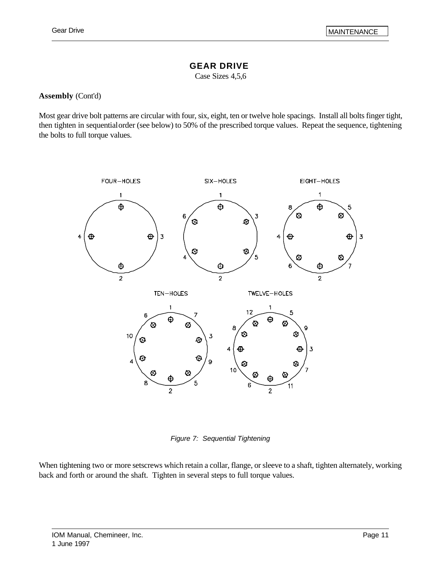### **GEAR DRIVE**

Case Sizes 4,5,6

#### **Assembly** (Cont'd)

Most gear drive bolt patterns are circular with four, six, eight, ten or twelve hole spacings. Install all bolts finger tight, then tighten in sequential order (see below) to 50% of the prescribed torque values. Repeat the sequence, tightening the bolts to full torque values.



*Figure 7: Sequential Tightening*

When tightening two or more setscrews which retain a collar, flange, or sleeve to a shaft, tighten alternately, working back and forth or around the shaft. Tighten in several steps to full torque values.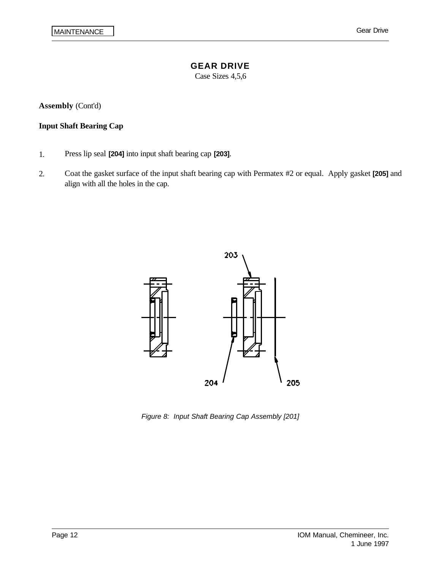Case Sizes 4,5,6

**Assembly** (Cont'd)

### **Input Shaft Bearing Cap**

- 1. Press lip seal **[204]** into input shaft bearing cap **[203]**.
- 2. Coat the gasket surface of the input shaft bearing cap with Permatex #2 or equal. Apply gasket **[205]** and align with all the holes in the cap.



*Figure 8: Input Shaft Bearing Cap Assembly [201]*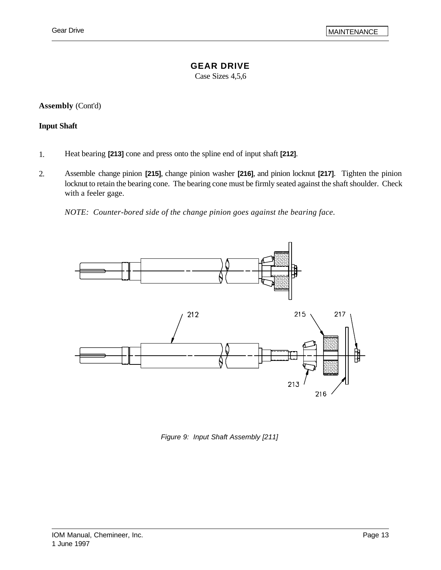### **GEAR DRIVE**

Case Sizes 4,5,6

**Assembly** (Cont'd)

#### **Input Shaft**

- 1. Heat bearing **[213]** cone and press onto the spline end of input shaft **[212]**.
- 2. Assemble change pinion **[215]**, change pinion washer **[216]**, and pinion locknut **[217]**. Tighten the pinion locknut to retain the bearing cone. The bearing cone must be firmly seated against the shaft shoulder. Check with a feeler gage.

*NOTE: Counter-bored side of the change pinion goes against the bearing face.*



*Figure 9: Input Shaft Assembly [211]*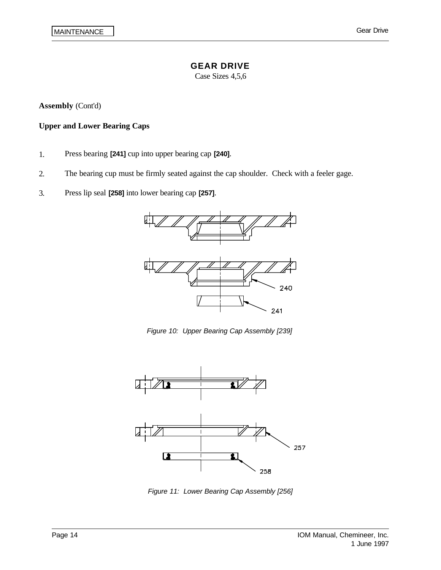Case Sizes 4,5,6

**Assembly** (Cont'd)

#### **Upper and Lower Bearing Caps**

- 1. Press bearing **[241]** cup into upper bearing cap **[240]**.
- 2. The bearing cup must be firmly seated against the cap shoulder. Check with a feeler gage.
- 3. Press lip seal **[258]** into lower bearing cap **[257]**.



*Figure 10: Upper Bearing Cap Assembly [239]*



*Figure 11: Lower Bearing Cap Assembly [256]*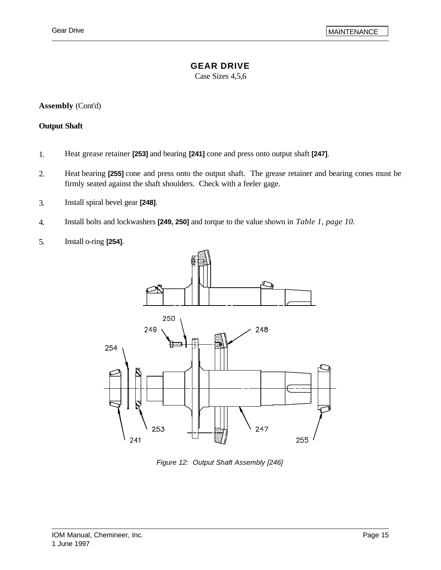### **GEAR DRIVE**

Case Sizes 4,5,6

**Assembly** (Cont'd)

#### **Output Shaft**

- 1. Heat grease retainer **[253]** and bearing **[241]** cone and press onto output shaft **[247]**.
- 2. Heat bearing **[255]** cone and press onto the output shaft. The grease retainer and bearing cones must be firmly seated against the shaft shoulders. Check with a feeler gage.
- 3. Install spiral bevel gear **[248]**.
- 4. Install bolts and lockwashers **[249, 250]** and torque to the value shown in *Table 1, page 10.*
- 5. Install o-ring **[254]**.



*Figure 12: Output Shaft Assembly [246]*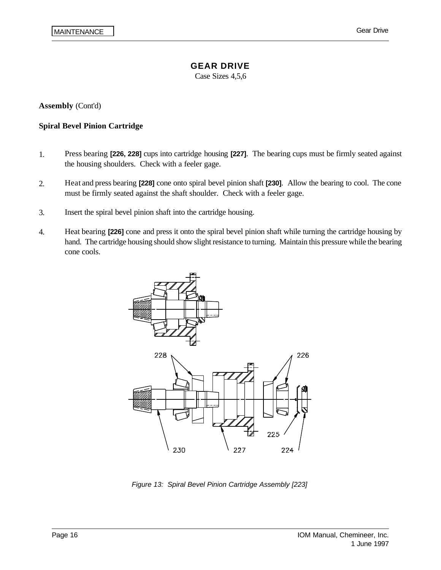Case Sizes 4,5,6

**Assembly** (Cont'd)

#### **Spiral Bevel Pinion Cartridge**

- 1. Press bearing **[226, 228]** cups into cartridge housing **[227]**. The bearing cups must be firmly seated against the housing shoulders. Check with a feeler gage.
- 2. Heat and press bearing **[228]** cone onto spiral bevel pinion shaft **[230]**. Allow the bearing to cool. The cone must be firmly seated against the shaft shoulder. Check with a feeler gage.
- 3. Insert the spiral bevel pinion shaft into the cartridge housing.
- 4. Heat bearing **[226]** cone and press it onto the spiral bevel pinion shaft while turning the cartridge housing by hand. The cartridge housing should show slight resistance to turning. Maintain this pressure while the bearing cone cools.



*Figure 13: Spiral Bevel Pinion Cartridge Assembly [223]*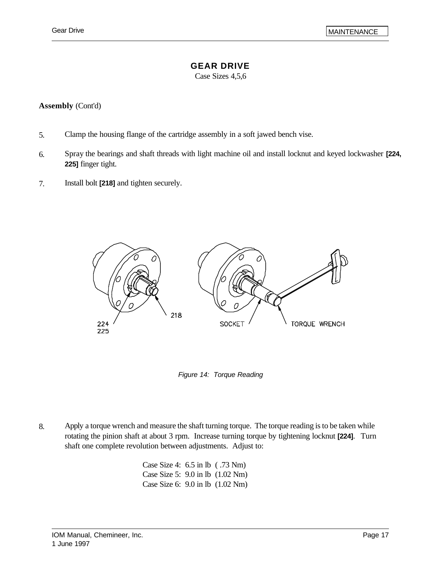## **GEAR DRIVE**

Case Sizes 4,5,6

#### **Assembly** (Cont'd)

- 5. Clamp the housing flange of the cartridge assembly in a soft jawed bench vise.
- 6. Spray the bearings and shaft threads with light machine oil and install locknut and keyed lockwasher **[224, 225]** finger tight.
- 7. Install bolt **[218]** and tighten securely.



*Figure 14: Torque Reading*

8. Apply a torque wrench and measure the shaft turning torque. The torque reading is to be taken while rotating the pinion shaft at about 3 rpm. Increase turning torque by tightening locknut **[224]**. Turn shaft one complete revolution between adjustments. Adjust to:

> Case Size 4: 6.5 in lb ( .73 Nm) Case Size 5: 9.0 in lb (1.02 Nm) Case Size 6: 9.0 in lb (1.02 Nm)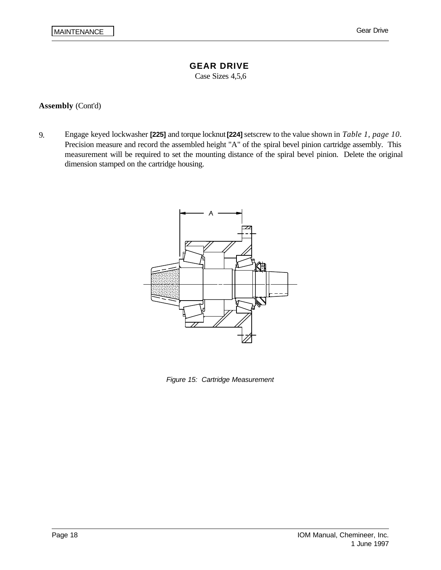Case Sizes 4,5,6

#### **Assembly** (Cont'd)

9. Engage keyed lockwasher **[225]** and torque locknut **[224]** setscrew to the value shown in *Table 1, page 10*. Precision measure and record the assembled height "A" of the spiral bevel pinion cartridge assembly. This measurement will be required to set the mounting distance of the spiral bevel pinion. Delete the original dimension stamped on the cartridge housing.



*Figure 15: Cartridge Measurement*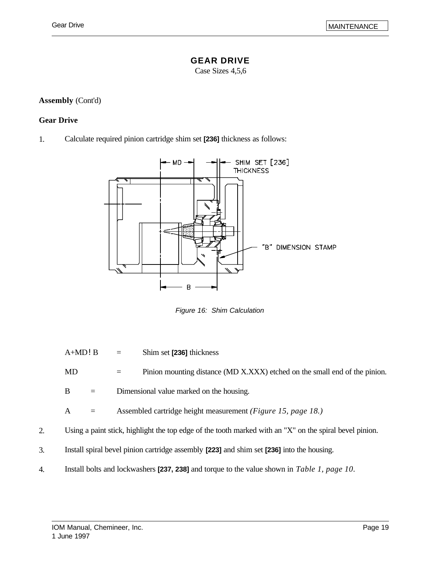## **GEAR DRIVE**

Case Sizes 4,5,6

## **Assembly** (Cont'd)

## **Gear Drive**

1. Calculate required pinion cartridge shim set **[236]** thickness as follows:



*Figure 16: Shim Calculation*

A+MD!B = Shim set **[236]** thickness

MD = Pinion mounting distance (MD X.XXX) etched on the small end of the pinion.

 $B =$  Dimensional value marked on the housing.

A = Assembled cartridge height measurement *(Figure 15, page 18.)*

- 2. Using a paint stick, highlight the top edge of the tooth marked with an "X" on the spiral bevel pinion.
- 3. Install spiral bevel pinion cartridge assembly **[223]** and shim set **[236]** into the housing.
- 4. Install bolts and lockwashers **[237, 238]** and torque to the value shown in *Table 1, page 10*.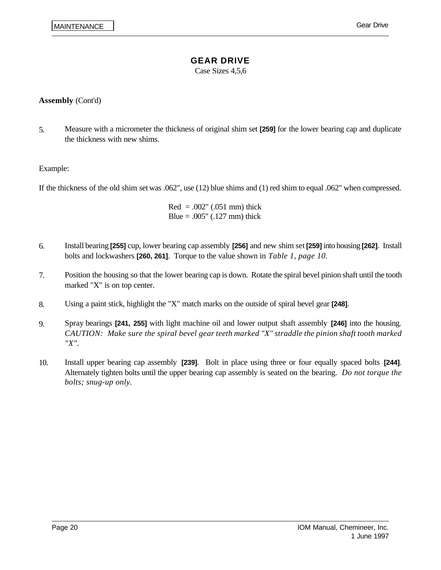Case Sizes 4,5,6

### **Assembly** (Cont'd)

5. Measure with a micrometer the thickness of original shim set **[259]** for the lower bearing cap and duplicate the thickness with new shims.

#### Example:

If the thickness of the old shim set was .062", use (12) blue shims and (1) red shim to equal .062" when compressed.

 $Red = .002" (.051 mm)$  thick Blue =  $.005$ " ( $.127$  mm) thick

- 6. Install bearing **[255]** cup, lower bearing cap assembly **[256]** and new shim set **[259]** into housing **[262]**. Install bolts and lockwashers **[260, 261]**. Torque to the value shown in *Table 1, page 10.*
- 7. Position the housing so that the lower bearing cap is down. Rotate the spiral bevel pinion shaft until the tooth marked "X" is on top center.
- 8. Using a paint stick, highlight the "X" match marks on the outside of spiral bevel gear **[248]**.
- 9. Spray bearings **[241, 255]** with light machine oil and lower output shaft assembly **[246]** into the housing. *CAUTION: Make sure the spiral bevel gear teeth marked "X" straddle the pinion shaft tooth marked "X".*
- 10. Install upper bearing cap assembly **[239]**. Bolt in place using three or four equally spaced bolts **[244]**. Alternately tighten bolts until the upper bearing cap assembly is seated on the bearing. *Do not torque the bolts; snug-up only.*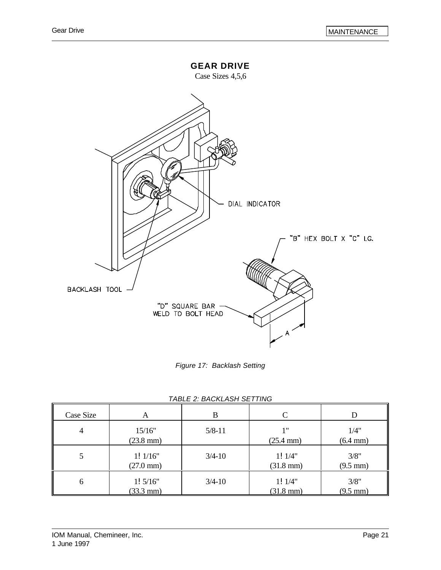

*Figure 17: Backlash Setting*

| Case Size | A                              | B          |                               |                            |
|-----------|--------------------------------|------------|-------------------------------|----------------------------|
| 4         | 15/16"<br>$(23.8 \text{ mm})$  | $5/8 - 11$ | 1"<br>$(25.4 \text{ mm})$     | 1/4"<br>$(6.4 \text{ mm})$ |
| 5         | 1!1/16"<br>$(27.0 \text{ mm})$ | $3/4 - 10$ | 1!1/4"<br>$(31.8 \text{ mm})$ | 3/8"<br>$(9.5 \text{ mm})$ |
| 6         | 1!5/16"<br>$(33.3 \text{ mm})$ | $3/4 - 10$ | 1!1/4"<br>$(31.8 \text{ mm})$ | 3/8"<br>$(9.5 \text{ mm})$ |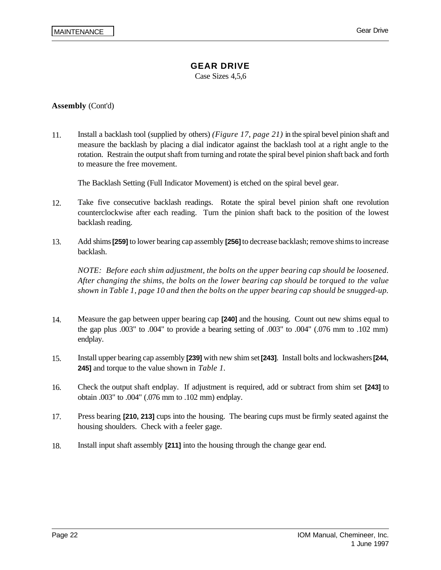Case Sizes 4,5,6

#### **Assembly** (Cont'd)

11. Install a backlash tool (supplied by others) *(Figure 17, page 21)* in the spiral bevel pinion shaft and measure the backlash by placing a dial indicator against the backlash tool at a right angle to the rotation. Restrain the output shaft from turning and rotate the spiral bevel pinion shaft back and forth to measure the free movement.

The Backlash Setting (Full Indicator Movement) is etched on the spiral bevel gear.

- 12. Take five consecutive backlash readings. Rotate the spiral bevel pinion shaft one revolution counterclockwise after each reading. Turn the pinion shaft back to the position of the lowest backlash reading.
- 13. Add shims **[259]** to lower bearing cap assembly **[256]** to decrease backlash; remove shims to increase backlash.

*NOTE: Before each shim adjustment, the bolts on the upper bearing cap should be loosened. After changing the shims, the bolts on the lower bearing cap should be torqued to the value shown in Table 1, page 10 and then the bolts on the upper bearing cap should be snugged-up.*

- 14. Measure the gap between upper bearing cap **[240]** and the housing. Count out new shims equal to the gap plus .003" to .004" to provide a bearing setting of .003" to .004" (.076 mm to .102 mm) endplay.
- 15. Install upper bearing cap assembly **[239]** with new shim set **[243]**. Install bolts and lockwashers **[244, 245]** and torque to the value shown in *Table 1.*
- 16. Check the output shaft endplay. If adjustment is required, add or subtract from shim set **[243]** to obtain .003" to .004" (.076 mm to .102 mm) endplay.
- 17. Press bearing **[210, 213]** cups into the housing. The bearing cups must be firmly seated against the housing shoulders. Check with a feeler gage.
- 18. Install input shaft assembly **[211]** into the housing through the change gear end.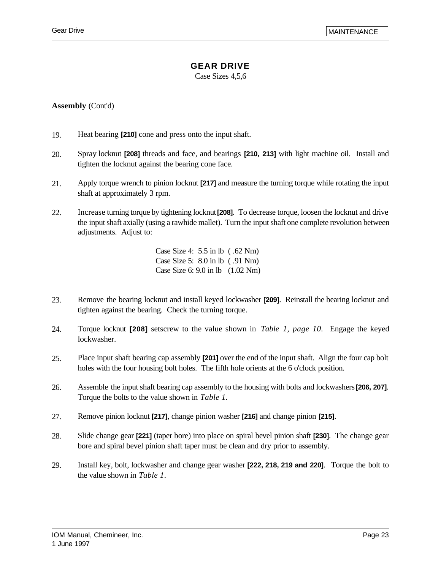## **GEAR DRIVE**

Case Sizes 4,5,6

#### **Assembly** (Cont'd)

- 19. Heat bearing **[210]** cone and press onto the input shaft.
- 20. Spray locknut **[208]** threads and face, and bearings **[210, 213]** with light machine oil. Install and tighten the locknut against the bearing cone face.
- 21. Apply torque wrench to pinion locknut **[217]** and measure the turning torque while rotating the input shaft at approximately 3 rpm.
- 22. Increase turning torque by tightening locknut **[208]**. To decrease torque, loosen the locknut and drive the input shaft axially (using a rawhide mallet). Turn the input shaft one complete revolution between adjustments. Adjust to:

Case Size 4: 5.5 in lb ( .62 Nm) Case Size 5: 8.0 in lb ( .91 Nm) Case Size 6: 9.0 in lb (1.02 Nm)

- 23. Remove the bearing locknut and install keyed lockwasher **[209]**. Reinstall the bearing locknut and tighten against the bearing. Check the turning torque.
- 24. Torque locknut **[208]** setscrew to the value shown in *Table 1, page 10.* Engage the keyed lockwasher.
- 25. Place input shaft bearing cap assembly **[201]** over the end of the input shaft. Align the four cap bolt holes with the four housing bolt holes. The fifth hole orients at the 6 o'clock position.
- 26. Assemble the input shaft bearing cap assembly to the housing with bolts and lockwashers **[206, 207]**. Torque the bolts to the value shown in *Table 1.*
- 27. Remove pinion locknut **[217]**, change pinion washer **[216]** and change pinion **[215]**.
- 28. Slide change gear **[221]** (taper bore) into place on spiral bevel pinion shaft **[230]**. The change gear bore and spiral bevel pinion shaft taper must be clean and dry prior to assembly.
- 29. Install key, bolt, lockwasher and change gear washer **[222, 218, 219 and 220]**. Torque the bolt to the value shown in *Table 1*.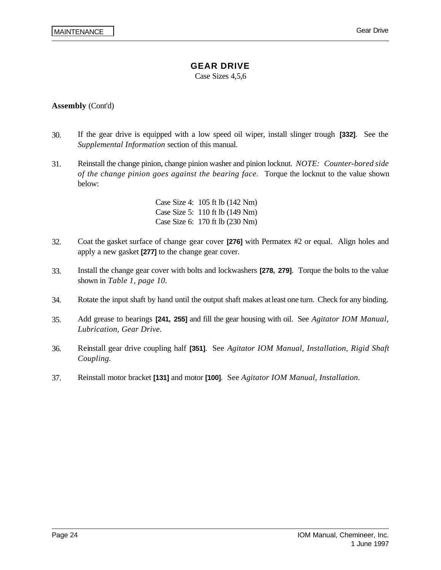Case Sizes 4,5,6

#### **Assembly** (Cont'd)

- 30. If the gear drive is equipped with a low speed oil wiper, install slinger trough **[332]**. See the *Supplemental Information* section of this manual.
- 31. Reinstall the change pinion, change pinion washer and pinion locknut. *NOTE: Counter-bored side of the change pinion goes against the bearing face.* Torque the locknut to the value shown below:

Case Size 4: 105 ft lb (142 Nm) Case Size 5: 110 ft lb (149 Nm) Case Size 6: 170 ft lb (230 Nm)

- 32. Coat the gasket surface of change gear cover **[276]** with Permatex #2 or equal. Align holes and apply a new gasket **[277]** to the change gear cover.
- 33. Install the change gear cover with bolts and lockwashers **[278, 279]**. Torque the bolts to the value shown in *Table 1, page 10.*
- 34. Rotate the input shaft by hand until the output shaft makes at least one turn. Check for any binding.
- 35. Add grease to bearings **[241, 255]** and fill the gear housing with oil. See *Agitator IOM Manual, Lubrication, Gear Drive.*
- 36. Reinstall gear drive coupling half **[351]**. See *Agitator IOM Manual, Installation, Rigid Shaft Coupling.*
- 37. Reinstall motor bracket **[131]** and motor **[100]**. See *Agitator IOM Manual, Installation.*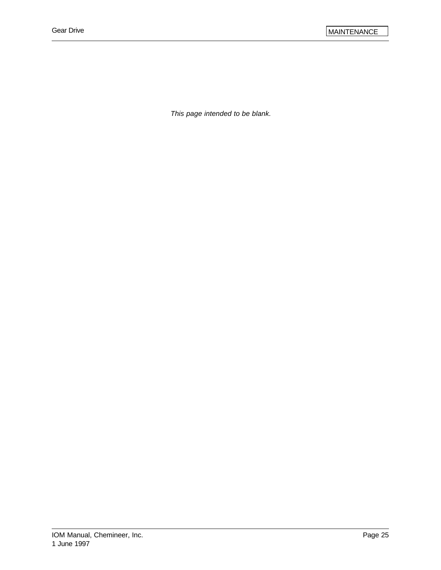*This page intended to be blank.*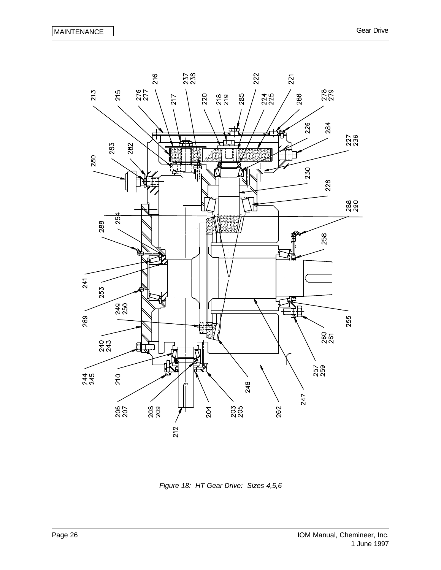

*Figure 18: HT Gear Drive: Sizes 4,5,6*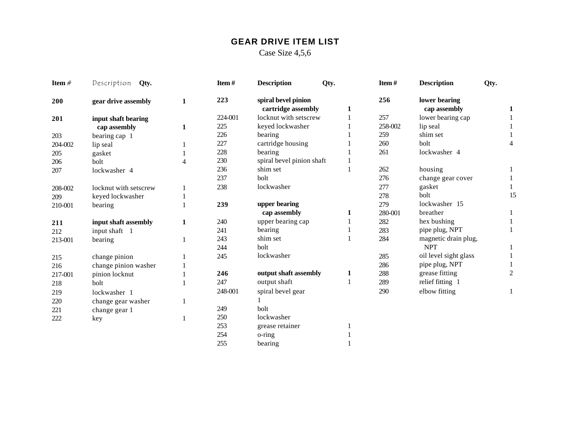## **GEAR DRIVE ITEM LIST**

Case Size 4,5,6

| Item $#$ | Description<br>Qty.   |   | Item#   | <b>Description</b>                        | Qty. | Item#   | <b>Description</b>            | Qty.           |
|----------|-----------------------|---|---------|-------------------------------------------|------|---------|-------------------------------|----------------|
| 200      | gear drive assembly   | 1 | 223     | spiral bevel pinion<br>cartridge assembly | 1    | 256     | lower bearing<br>cap assembly | 1              |
| 201      | input shaft bearing   |   | 224-001 | locknut with setscrew                     |      | 257     | lower bearing cap             |                |
|          | cap assembly          | 1 | 225     | keyed lockwasher                          |      | 258-002 | lip seal                      |                |
| 203      | bearing cap 1         |   | 226     | bearing                                   |      | 259     | shim set                      |                |
| 204-002  | lip seal              |   | 227     | cartridge housing                         |      | 260     | bolt                          | 4              |
| 205      | gasket                |   | 228     | bearing                                   |      | 261     | lockwasher 4                  |                |
| 206      | bolt                  | 4 | 230     | spiral bevel pinion shaft                 |      |         |                               |                |
| 207      | lockwasher 4          |   | 236     | shim set                                  |      | 262     | housing                       |                |
|          |                       |   | 237     | bolt                                      |      | 276     | change gear cover             |                |
| 208-002  | locknut with setscrew |   | 238     | lockwasher                                |      | 277     | gasket                        |                |
| 209      | keyed lockwasher      |   |         |                                           |      | 278     | bolt                          | 15             |
| 210-001  | bearing               |   | 239     | upper bearing                             |      | 279     | lockwasher 15                 |                |
|          |                       |   |         | cap assembly                              | 1    | 280-001 | breather                      |                |
| 211      | input shaft assembly  | 1 | 240     | upper bearing cap                         |      | 282     | hex bushing                   |                |
| 212      | input shaft 1         |   | 241     | bearing                                   |      | 283     | pipe plug, NPT                |                |
| 213-001  | bearing               |   | 243     | shim set                                  |      | 284     | magnetic drain plug,          |                |
|          |                       |   | 244     | bolt                                      |      |         | <b>NPT</b>                    |                |
| 215      | change pinion         |   | 245     | lockwasher                                |      | 285     | oil level sight glass         |                |
| 216      | change pinion washer  |   |         |                                           |      | 286     | pipe plug, NPT                |                |
| 217-001  | pinion locknut        |   | 246     | output shaft assembly                     | 1    | 288     | grease fitting                | $\overline{c}$ |
| 218      | bolt                  |   | 247     | output shaft                              |      | 289     | relief fitting 1              |                |
| 219      | lockwasher 1          |   | 248-001 | spiral bevel gear                         |      | 290     | elbow fitting                 | 1              |
| 220      | change gear washer    |   |         |                                           |      |         |                               |                |
| 221      | change gear 1         |   | 249     | bolt                                      |      |         |                               |                |
| 222      | key                   |   | 250     | lockwasher                                |      |         |                               |                |
|          |                       |   | 253     | grease retainer                           |      |         |                               |                |
|          |                       |   | 254     | o-ring                                    |      |         |                               |                |
|          |                       |   | 255     | bearing                                   |      |         |                               |                |